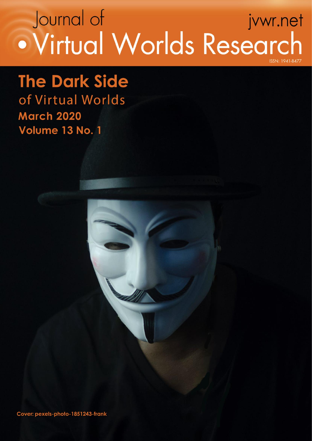# Journal of jvwr.net · Virtual Worlds Research **ISSN** - 1941-847

**The Dark Side** of Virtual Worlds **March 2020** Volume 13 No. 1

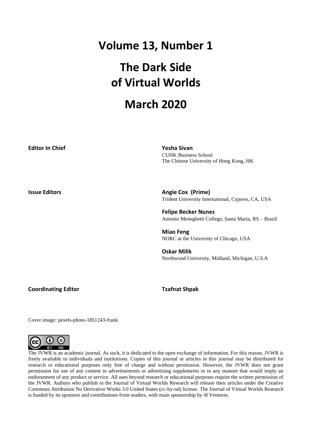## **Volume 13, Number 1**

# **The Dark Side of Virtual Worlds**

## **March 2020**

| <b>Editor In Chief</b> | <b>Yesha Sivan</b><br><b>CUHK Business School</b><br>The Chinese University of Hong Kong, HK |
|------------------------|----------------------------------------------------------------------------------------------|
| <b>Issue Editors</b>   | <b>Angie Cox (Prime)</b><br>Trident University International, Cypress, CA, USA               |
|                        | <b>Felipe Becker Nunes</b><br>Antonio Meneghetti College, Santa Maria, RS – Brazil           |
|                        | <b>Miao Feng</b><br>NORC at the University of Chicago, USA                                   |
|                        | <b>Oskar Milik</b><br>Northwood University, Midland, Michigan, U.S.A                         |

**Coordinating Editor Tzafnat Shpak**

Cover image: pexels-photo-1851243-frank



The JVWR is an academic journal. As such, it is dedicated to the open exchange of information. For this reason, JVWR is freely available to individuals and institutions. Copies of this journal or articles in this journal may be distributed for research or educational purposes only free of charge and without permission. However, the JVWR does not grant permission for use of any content in advertisements or advertising supplements or in any manner that would imply an endorsement of any product or service. All uses beyond research or educational purposes require the written permission of the JVWR. Authors who publish in the Journal of Virtual Worlds Research will release their articles under the Creative Commons Attribution No Derivative Works 3.0 United States (cc-by-nd) license. The Journal of Virtual Worlds Research is funded by its sponsors and contributions from readers, with main sponsorship by i8 Ventures.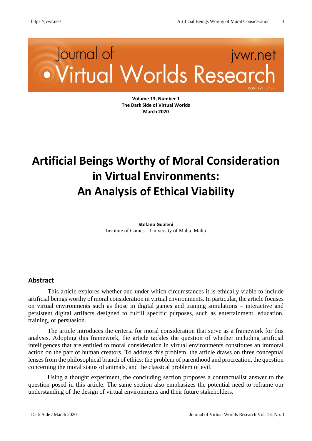# Journal of jvwr.net · Virtual Worlds Researd

**Volume 13, Number 1 The Dark Side of Virtual Worlds March 2020**

# **Artificial Beings Worthy of Moral Consideration in Virtual Environments: An Analysis of Ethical Viability**

**Stefano Gualeni** Institute of Games – University of Malta, Malta

#### **Abstract**

This article explores whether and under which circumstances it is ethically viable to include artificial beings worthy of moral consideration in virtual environments. In particular, the article focuses on virtual environments such as those in digital games and training simulations – interactive and persistent digital artifacts designed to fulfill specific purposes, such as entertainment, education, training, or persuasion.

The article introduces the criteria for moral consideration that serve as a framework for this analysis. Adopting this framework, the article tackles the question of whether including artificial intelligences that are entitled to moral consideration in virtual environments constitutes an immoral action on the part of human creators. To address this problem, the article draws on three conceptual lenses from the philosophical branch of ethics: the problem of parenthood and procreation, the question concerning the moral status of animals, and the classical problem of evil.

Using a thought experiment, the concluding section proposes a contractualist answer to the question posed in this article. The same section also emphasizes the potential need to reframe our understanding of the design of virtual environments and their future stakeholders.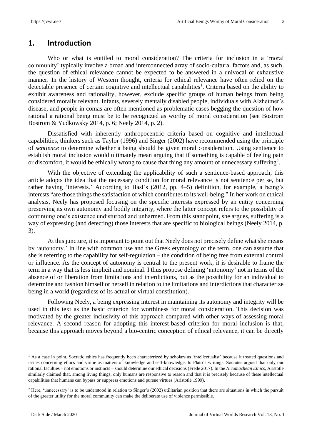#### **1. Introduction**

Who or what is entitled to moral consideration? The criteria for inclusion in a 'moral community' typically involve a broad and interconnected array of socio-cultural factors and, as such, the question of ethical relevance cannot be expected to be answered in a univocal or exhaustive manner. In the history of Western thought, criteria for ethical relevance have often relied on the detectable presence of certain cognitive and intellectual capabilities<sup>1</sup>. Criteria based on the ability to exhibit awareness and rationality, however, exclude specific groups of human beings from being considered morally relevant. Infants, severely mentally disabled people, individuals with Alzheimer's disease, and people in comas are often mentioned as problematic cases begging the question of how rational a rational being must be to be recognized as worthy of moral consideration (see Bostrom Bostrom & Yudkowsky 2014, p. 6; Neely 2014, p. 2).

Dissatisfied with inherently anthropocentric criteria based on cognitive and intellectual capabilities, thinkers such as Taylor (1996) and Singer (2002) have recommended using the principle of *sentience* to determine whether a being should be given moral consideration. Using sentience to establish moral inclusion would ultimately mean arguing that if something is capable of feeling pain or discomfort, it would be ethically wrong to cause that thing any amount of unnecessary suffering<sup>2</sup>.

With the objective of extending the applicability of such a sentience-based approach, this article adopts the idea that the necessary condition for moral relevance is not sentience per se, but rather having 'interests.' According to Basl's (2012, pp. 4–5) definition, for example, a being's interests "are those things the satisfaction of which contributes to its well-being." In her work on ethical analysis, Neely has proposed focusing on the specific interests expressed by an entity concerning preserving its own autonomy and bodily integrity, where the latter concept refers to the possibility of continuing one's existence undisturbed and unharmed. From this standpoint, she argues, suffering is a way of expressing (and detecting) those interests that are specific to biological beings (Neely 2014, p. 3).

At this juncture, it is important to point out that Neely does not precisely define what she means by 'autonomy.' In line with common use and the Greek etymology of the term, one can assume that she is referring to the capability for self-regulation – the condition of being free from external control or influence. As the concept of autonomy is central to the present work, it is desirable to frame the term in a way that is less implicit and nominal. I thus propose defining 'autonomy' not in terms of the absence of or liberation from limitations and interdictions, but as the possibility for an individual to determine and fashion himself or herself in relation to the limitations and interdictions that characterize being in a world (regardless of its actual or virtual constitution).

Following Neely, a being expressing interest in maintaining its autonomy and integrity will be used in this text as the basic criterion for worthiness for moral consideration. This decision was motivated by the greater inclusivity of this approach compared with other ways of assessing moral relevance. A second reason for adopting this interest-based criterion for moral inclusion is that, because this approach moves beyond a bio-centric conception of ethical relevance, it can be directly

<sup>&</sup>lt;sup>1</sup> As a case in point, Socratic ethics has frequently been characterized by scholars as 'intellectualist' because it treated questions and issues concerning ethics and virtue as matters of knowledge and self-knowledge. In Plato's writings, Socrates argued that only our rational faculties – not emotions or instincts – should determine our ethical decisions (Frede 2017). In the *Nicomachean Ethics*, Aristotle similarly claimed that, among living things, only humans are responsive to reason and that it is precisely because of these intellectual capabilities that humans can bypass or suppress emotions and pursue virtues (Aristotle 1999).

<sup>&</sup>lt;sup>2</sup> Here, 'unnecessary' is to be understood in relation to Singer's (2002) utilitarian position that there are situations in which the pursuit of the greater utility for the moral community can make the deliberate use of violence permissible.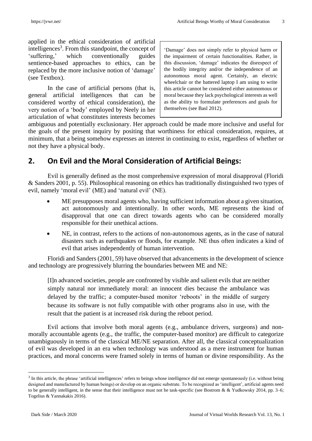applied in the ethical consideration of artificial intelligences<sup>3</sup>. From this standpoint, the concept of 'suffering,' which conventionally guides sentience-based approaches to ethics, can be replaced by the more inclusive notion of 'damage' (see Textbox).

In the case of artificial persons (that is, general artificial intelligences that can be considered worthy of ethical consideration), the very notion of a 'body' employed by Neely in her articulation of what constitutes interests becomes

'Damage' does not simply refer to physical harm or the impairment of certain functionalities. Rather, in this discussion, 'damage' indicates the disrespect of the bodily integrity and/or the independence of an autonomous moral agent. Certainly, an electric wheelchair or the battered laptop I am using to write this article cannot be considered either autonomous or moral because they lack psychological interests as well as the ability to formulate preferences and goals for themselves (see Basl 2012).

ambiguous and potentially exclusionary. Her approach could be made more inclusive and useful for the goals of the present inquiry by positing that worthiness for ethical consideration, requires, at minimum, that a being somehow expresses an interest in continuing to exist, regardless of whether or not they have a physical body.

### **2. On Evil and the Moral Consideration of Artificial Beings:**

Evil is generally defined as the most comprehensive expression of moral disapproval (Floridi & Sanders 2001, p. 55). Philosophical reasoning on ethics has traditionally distinguished two types of evil, namely 'moral evil' (ME) and 'natural evil' (NE).

- ME presupposes moral agents who, having sufficient information about a given situation, act autonomously and intentionally. In other words, ME represents the kind of disapproval that one can direct towards agents who can be considered morally responsible for their unethical actions.
- NE, in contrast, refers to the actions of non-autonomous agents, as in the case of natural disasters such as earthquakes or floods, for example. NE thus often indicates a kind of evil that arises independently of human intervention.

Floridi and Sanders (2001, 59) have observed that advancements in the development of science and technology are progressively blurring the boundaries between ME and NE:

[I]n advanced societies, people are confronted by visible and salient evils that are neither simply natural nor immediately moral: an innocent dies because the ambulance was delayed by the traffic; a computer-based monitor 'reboots' in the middle of surgery because its software is not fully compatible with other programs also in use, with the result that the patient is at increased risk during the reboot period.

Evil actions that involve both moral agents (e.g., ambulance drivers, surgeons) and nonmorally accountable agents (e.g., the traffic, the computer-based monitor) are difficult to categorize unambiguously in terms of the classical ME/NE separation. After all, the classical conceptualization of evil was developed in an era when technology was understood as a mere instrument for human practices, and moral concerns were framed solely in terms of human or divine responsibility. As the

<sup>&</sup>lt;sup>3</sup> In this article, the phrase 'artificial intelligences' refers to beings whose intelligence did not emerge spontaneously (i.e. without being designed and manufactured by human beings) or develop on an organic substrate. To be recognized as 'intelligent', artificial agents need to be generally intelligent, in the sense that their intelligence must not be task-specific (see Bostrom & & Yudkowsky 2014, pp. 3–6; Togelius & Yannakakis 2016).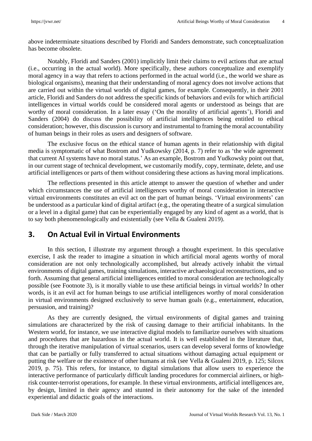above indeterminate situations described by Floridi and Sanders demonstrate, such conceptualization has become obsolete.

Notably, Floridi and Sanders (2001) implicitly limit their claims to evil actions that are actual (i.e., occurring in the actual world). More specifically, these authors conceptualize and exemplify moral agency in a way that refers to actions performed in the actual world (i.e., the world we share as biological organisms), meaning that their understanding of moral agency does not involve actions that are carried out within the virtual worlds of digital games, for example. Consequently, in their 2001 article, Floridi and Sanders do not address the specific kinds of behaviors and evils for which artificial intelligences in virtual worlds could be considered moral agents or understood as beings that are worthy of moral consideration. In a later essay ('On the morality of artificial agents'), Floridi and Sanders (2004) do discuss the possibility of artificial intelligences being entitled to ethical consideration; however, this discussion is cursory and instrumental to framing the moral accountability of human beings in their roles as users and designers of software.

The exclusive focus on the ethical stance of human agents in their relationship with digital media is symptomatic of what Bostrom and Yudkowsky (2014, p. 7) refer to as 'the wide agreement that current AI systems have no moral status.' As an example, Bostrom and Yudkowsky point out that, in our current stage of technical development, we customarily modify, copy, terminate, delete, and use artificial intelligences or parts of them without considering these actions as having moral implications.

The reflections presented in this article attempt to answer the question of whether and under which circumstances the use of artificial intelligences worthy of moral consideration in interactive virtual environments constitutes an evil act on the part of human beings. 'Virtual environments' can be understood as a particular kind of digital artifact (e.g., the operating theatre of a surgical simulation or a level in a digital game) that can be experientially engaged by any kind of agent as a world, that is to say both phenomenologically and existentially (see Vella & Gualeni 2019).

### **3. On Actual Evil in Virtual Environments**

In this section, I illustrate my argument through a thought experiment. In this speculative exercise, I ask the reader to imagine a situation in which artificial moral agents worthy of moral consideration are not only technologically accomplished, but already actively inhabit the virtual environments of digital games, training simulations, interactive archaeological reconstructions, and so forth. Assuming that general artificial intelligences entitled to moral consideration are technologically possible (see Footnote 3), is it morally viable to use these artificial beings in virtual worlds? In other words, is it an evil act for human beings to use artificial intelligences worthy of moral consideration in virtual environments designed exclusively to serve human goals (e.g., entertainment, education, persuasion, and training)?

As they are currently designed, the virtual environments of digital games and training simulations are characterized by the risk of causing damage to their artificial inhabitants. In the Western world, for instance, we use interactive digital models to familiarize ourselves with situations and procedures that are hazardous in the actual world. It is well established in the literature that, through the iterative manipulation of virtual scenarios, users can develop several forms of knowledge that can be partially or fully transferred to actual situations without damaging actual equipment or putting the welfare or the existence of other humans at risk (see Vella & Gualeni 2019, p. 125; Silcox 2019, p. 75). This refers, for instance, to digital simulations that allow users to experience the interactive performance of particularly difficult landing procedures for commercial airliners, or highrisk counter-terrorist operations, for example. In these virtual environments, artificial intelligences are, by design, limited in their agency and stunted in their autonomy for the sake of the intended experiential and didactic goals of the interactions.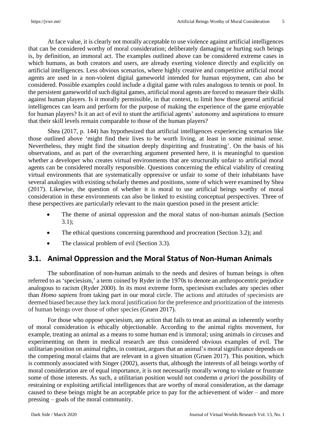At face value, it is clearly not morally acceptable to use violence against artificial intelligences that can be considered worthy of moral consideration; deliberately damaging or hurting such beings is, by definition, an immoral act. The examples outlined above can be considered extreme cases in which humans, as both creators and users, are already exerting violence directly and explicitly on artificial intelligences. Less obvious scenarios, where highly creative and competitive artificial moral agents are used in a non-violent digital gameworld intended for human enjoyment, can also be considered. Possible examples could include a digital game with rules analogous to tennis or pool. In the persistent gameworld of such digital games, artificial moral agents are forced to measure their skills against human players. Is it morally permissible, in that context, to limit how those general artificial intelligences can learn and perform for the purpose of making the experience of the game enjoyable for human players? Is it an act of evil to stunt the artificial agents' autonomy and aspirations to ensure that their skill levels remain comparable to those of the human players?

Shea (2017, p. 144) has hypothesized that artificial intelligences experiencing scenarios like those outlined above 'might find their lives to be worth living, at least in some minimal sense. Nevertheless, they might find the situation deeply dispiriting and frustrating'. On the basis of his observations, and as part of the overarching argument presented here, it is meaningful to question whether a developer who creates virtual environments that are structurally unfair to artificial moral agents can be considered morally responsible. Questions concerning the ethical viability of creating virtual environments that are systematically oppressive or unfair to some of their inhabitants have several analogies with existing scholarly themes and positions, some of which were examined by Shea (2017). Likewise, the question of whether it is moral to use artificial beings worthy of moral consideration in these environments can also be linked to existing conceptual perspectives. Three of these perspectives are particularly relevant to the main question posed in the present article:

- The theme of animal oppression and the moral status of non-human animals (Section 3.1);
- The ethical questions concerning parenthood and procreation (Section 3.2); and
- The classical problem of evil (Section 3.3).

## **3.1. Animal Oppression and the Moral Status of Non-Human Animals**

The subordination of non-human animals to the needs and desires of human beings is often referred to as 'speciesism,' a term coined by Ryder in the 1970s to denote an anthropocentric prejudice analogous to racism (Ryder 2000). In its most extreme form, speciesism excludes any species other than *Homo sapiens* from taking part in our moral circle. The actions and attitudes of speciesists are deemed biased because they lack moral justification for the preference and prioritization of the interests of human beings over those of other species (Gruen 2017).

For those who oppose speciesism, any action that fails to treat an animal as inherently worthy of moral consideration is ethically objectionable. According to the animal rights movement, for example, treating an animal as a means to some human end is immoral; using animals in circuses and experimenting on them in medical research are thus considered obvious examples of evil. The utilitarian position on animal rights, in contrast, argues that an animal's moral significance depends on the competing moral claims that are relevant in a given situation (Gruen 2017). This position, which is commonly associated with Singer (2002), asserts that, although the interests of all beings worthy of moral consideration are of equal importance, it is not necessarily morally wrong to violate or frustrate some of those interests. As such, a utilitarian position would not condemn *a priori* the possibility of restraining or exploiting artificial intelligences that are worthy of moral consideration, as the damage caused to these beings might be an acceptable price to pay for the achievement of wider – and more pressing – goals of the moral community.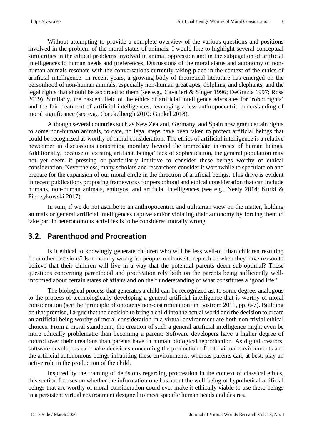Without attempting to provide a complete overview of the various questions and positions involved in the problem of the moral status of animals, I would like to highlight several conceptual similarities in the ethical problems involved in animal oppression and in the subjugation of artificial intelligences to human needs and preferences. Discussions of the moral status and autonomy of nonhuman animals resonate with the conversations currently taking place in the context of the ethics of artificial intelligence. In recent years, a growing body of theoretical literature has emerged on the personhood of non-human animals, especially non-human great apes, dolphins, and elephants, and the legal rights that should be accorded to them (see e.g., Cavalieri & Singer 1996; DeGrazia 1997; Ross 2019). Similarly, the nascent field of the ethics of artificial intelligence advocates for 'robot rights' and the fair treatment of artificial intelligences, leveraging a less anthropocentric understanding of moral significance (see e.g., Coeckelbergh 2010; Gunkel 2018).

Although several countries such as New Zealand, Germany, and Spain now grant certain rights to some non-human animals, to date, no legal steps have been taken to protect artificial beings that could be recognized as worthy of moral consideration. The ethics of artificial intelligence is a relative newcomer in discussions concerning morality beyond the immediate interests of human beings. Additionally, because of existing artificial beings' lack of sophistication, the general population may not yet deem it pressing or particularly intuitive to consider these beings worthy of ethical consideration. Nevertheless, many scholars and researchers consider it worthwhile to speculate on and prepare for the expansion of our moral circle in the direction of artificial beings. This drive is evident in recent publications proposing frameworks for personhood and ethical consideration that can include humans, non-human animals, embryos, and artificial intelligences (see e.g., Neely 2014; Kurki & Pietrzykowski 2017).

In sum, if we do not ascribe to an anthropocentric and utilitarian view on the matter, holding animals or general artificial intelligences captive and/or violating their autonomy by forcing them to take part in heteronomous activities is to be considered morally wrong.

### **3.2. Parenthood and Procreation**

Is it ethical to knowingly generate children who will be less well-off than children resulting from other decisions? Is it morally wrong for people to choose to reproduce when they have reason to believe that their children will live in a way that the potential parents deem sub-optimal? These questions concerning parenthood and procreation rely both on the parents being sufficiently wellinformed about certain states of affairs and on their understanding of what constitutes a 'good life.'

The biological process that generates a child can be recognized as, to some degree, analogous to the process of technologically developing a general artificial intelligence that is worthy of moral consideration (see the 'principle of ontogeny non-discrimination' in Bostrom 2011, pp. 6-7). Building on that premise, I argue that the decision to bring a child into the actual world and the decision to create an artificial being worthy of moral consideration in a virtual environment are both non-trivial ethical choices. From a moral standpoint, the creation of such a general artificial intelligence might even be more ethically problematic than becoming a parent: Software developers have a higher degree of control over their creations than parents have in human biological reproduction. As digital creators, software developers can make decisions concerning the production of both virtual environments and the artificial autonomous beings inhabiting these environments, whereas parents can, at best, play an active role in the production of the child.

Inspired by the framing of decisions regarding procreation in the context of classical ethics, this section focuses on whether the information one has about the well-being of hypothetical artificial beings that are worthy of moral consideration could ever make it ethically viable to use these beings in a persistent virtual environment designed to meet specific human needs and desires.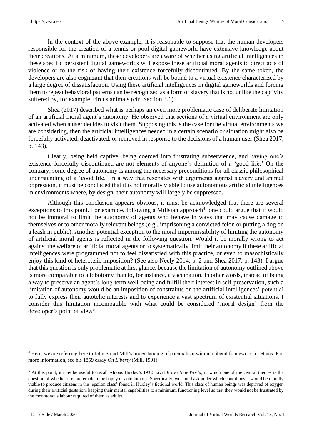In the context of the above example, it is reasonable to suppose that the human developers responsible for the creation of a tennis or pool digital gameworld have extensive knowledge about their creations. At a minimum, these developers are aware of whether using artificial intelligences in these specific persistent digital gameworlds will expose these artificial moral agents to direct acts of violence or to the risk of having their existence forcefully discontinued. By the same token, the developers are also cognizant that their creations will be bound to a virtual existence characterized by a large degree of dissatisfaction. Using these artificial intelligences in digital gameworlds and forcing them to repeat behavioral patterns can be recognized as a form of slavery that is not unlike the captivity suffered by, for example, circus animals (cfr. Section 3.1).

Shea (2017) described what is perhaps an even more problematic case of deliberate limitation of an artificial moral agent's autonomy. He observed that sections of a virtual environment are only activated when a user decides to visit them. Supposing this is the case for the virtual environments we are considering, then the artificial intelligences needed in a certain scenario or situation might also be forcefully activated, deactivated, or removed in response to the decisions of a human user (Shea 2017, p. 143).

Clearly, being held captive, being coerced into frustrating subservience, and having one's existence forcefully discontinued are not elements of anyone's definition of a 'good life.' On the contrary, some degree of autonomy is among the necessary preconditions for all classic philosophical understanding of a 'good life.' In a way that resonates with arguments against slavery and animal oppression, it must be concluded that it is not morally viable to use autonomous artificial intelligences in environments where, by design, their autonomy will largely be suppressed.

Although this conclusion appears obvious, it must be acknowledged that there are several exceptions to this point. For example, following a Millsian approach<sup>4</sup>, one could argue that it would not be immoral to limit the autonomy of agents who behave in ways that may cause damage to themselves or to other morally relevant beings (e.g., imprisoning a convicted felon or putting a dog on a leash in public). Another potential exception to the moral impermissibility of limiting the autonomy of artificial moral agents is reflected in the following question: Would it be morally wrong to act against the welfare of artificial moral agents or to systematically limit their autonomy if these artificial intelligences were programmed not to feel dissatisfied with this practice, or even to masochistically enjoy this kind of heterotelic imposition? (See also Neely 2014, p. 2 and Shea 2017, p. 143). I argue that this question is only problematic at first glance, because the limitation of autonomy outlined above is more comparable to a lobotomy than to, for instance, a vaccination. In other words, instead of being a way to preserve an agent's long-term well-being and fulfill their interest in self-preservation, such a limitation of autonomy would be an imposition of constraints on the artificial intelligences' potential to fully express their autotelic interests and to experience a vast spectrum of existential situations. I consider this limitation incompatible with what could be considered 'moral design' from the developer's point of view<sup>5</sup>.

<sup>4</sup> Here, we are referring here to John Stuart Mill's understanding of paternalism within a liberal framework for ethics. For more information, see his 1859 essay *On Liberty* (Mill, 1991).

<sup>5</sup> At this point, it may be useful to recall Aldous Huxley's 1932 novel *Brave New World*, in which one of the central themes is the question of whether it is preferable to be happy or autonomous. Specifically, we could ask under which conditions it would be morally viable to produce citizens in the 'epsilon class' found in Huxley's fictional world. This class of human beings was deprived of oxygen during their artificial gestation, keeping their mental capabilities to a minimum functioning level so that they would not be frustrated by the monotonous labour required of them as adults.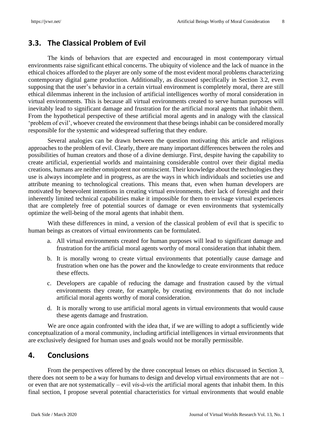#### **3.3. The Classical Problem of Evil**

The kinds of behaviors that are expected and encouraged in most contemporary virtual environments raise significant ethical concerns. The ubiquity of violence and the lack of nuance in the ethical choices afforded to the player are only some of the most evident moral problems characterizing contemporary digital game production. Additionally, as discussed specifically in Section 3.2, even supposing that the user's behavior in a certain virtual environment is completely moral, there are still ethical dilemmas inherent in the inclusion of artificial intelligences worthy of moral consideration in virtual environments. This is because all virtual environments created to serve human purposes will inevitably lead to significant damage and frustration for the artificial moral agents that inhabit them. From the hypothetical perspective of these artificial moral agents and in analogy with the classical 'problem of evil', whoever created the environment that these beingsinhabit can be considered morally responsible for the systemic and widespread suffering that they endure.

Several analogies can be drawn between the question motivating this article and religious approaches to the problem of evil. Clearly, there are many important differences between the roles and possibilities of human creators and those of a divine demiurge. First, despite having the capability to create artificial, experiential worlds and maintaining considerable control over their digital media creations, humans are neither omnipotent nor omniscient. Their knowledge about the technologies they use is always incomplete and in progress, as are the ways in which individuals and societies use and attribute meaning to technological creations. This means that, even when human developers are motivated by benevolent intentions in creating virtual environments, their lack of foresight and their inherently limited technical capabilities make it impossible for them to envisage virtual experiences that are completely free of potential sources of damage or even environments that systemically optimize the well-being of the moral agents that inhabit them.

With these differences in mind, a version of the classical problem of evil that is specific to human beings as creators of virtual environments can be formulated.

- a. All virtual environments created for human purposes will lead to significant damage and frustration for the artificial moral agents worthy of moral consideration that inhabit them.
- b. It is morally wrong to create virtual environments that potentially cause damage and frustration when one has the power and the knowledge to create environments that reduce these effects.
- c. Developers are capable of reducing the damage and frustration caused by the virtual environments they create, for example, by creating environments that do not include artificial moral agents worthy of moral consideration.
- d. It is morally wrong to use artificial moral agents in virtual environments that would cause these agents damage and frustration.

We are once again confronted with the idea that, if we are willing to adopt a sufficiently wide conceptualization of a moral community, including artificial intelligences in virtual environments that are exclusively designed for human uses and goals would not be morally permissible.

#### **4. Conclusions**

From the perspectives offered by the three conceptual lenses on ethics discussed in Section 3, there does not seem to be a way for humans to design and develop virtual environments that are not – or even that are not systematically – evil *vis-à-vis* the artificial moral agents that inhabit them. In this final section, I propose several potential characteristics for virtual environments that would enable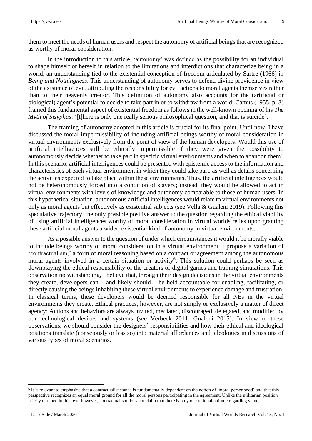them to meet the needs of human users and respect the autonomy of artificial beings that are recognized as worthy of moral consideration.

In the introduction to this article, 'autonomy' was defined as the possibility for an individual to shape himself or herself in relation to the limitations and interdictions that characterize being in a world, an understanding tied to the existential conception of freedom articulated by Sartre (1966) in *Being and Nothingness*. This understanding of autonomy serves to defend divine providence in view of the existence of evil, attributing the responsibility for evil actions to moral agents themselves rather than to their heavenly creator. This definition of autonomy also accounts for the (artificial or biological) agent's potential to decide to take part in or to withdraw from a world; Camus (1955, p. 3) framed this fundamental aspect of existential freedom as follows in the well-known opening of his *The Myth of Sisyphus*: '[t]here is only one really serious philosophical question, and that is suicide'.

The framing of autonomy adopted in this article is crucial for its final point. Until now, I have discussed the moral impermissibility of including artificial beings worthy of moral consideration in virtual environments exclusively from the point of view of the human developers. Would this use of artificial intelligences still be ethically impermissible if they were given the possibility to autonomously decide whether to take part in specific virtual environments and when to abandon them? In this scenario, artificial intelligences could be presented with epistemic access to the information and characteristics of each virtual environment in which they could take part, as well as details concerning the activities expected to take place within these environments. Thus, the artificial intelligences would not be heteronomously forced into a condition of slavery; instead, they would be allowed to act in virtual environments with levels of knowledge and autonomy comparable to those of human users. In this hypothetical situation, autonomous artificial intelligences would relate to virtual environments not only as moral agents but effectively as existential subjects (see Vella & Gualeni 2019). Following this speculative trajectory, the only possible positive answer to the question regarding the ethical viability of using artificial intelligences worthy of moral consideration in virtual worlds relies upon granting these artificial moral agents a wider, existential kind of autonomy in virtual environments.

As a possible answer to the question of under which circumstances it would it be morally viable to include beings worthy of moral consideration in a virtual environment, I propose a variation of 'contractualism,' a form of moral reasoning based on a contract or agreement among the autonomous moral agents involved in a certain situation or activity<sup>6</sup>. This solution could perhaps be seen as downplaying the ethical responsibility of the creators of digital games and training simulations. This observation notwithstanding, I believe that, through their design decisions in the virtual environments they create, developers can – and likely should – be held accountable for enabling, facilitating, or directly causing the beings inhabiting these virtual environments to experience damage and frustration. In classical terms, these developers would be deemed responsible for all NEs in the virtual environments they create. Ethical practices, however, are not simply or exclusively a matter of direct agency: Actions and behaviors are always invited, mediated, discouraged, delegated, and modified by our technological devices and systems (see Verbeek 2011; Gualeni 2015). In view of these observations, we should consider the designers' responsibilities and how their ethical and ideological positions translate (consciously or less so) into material affordances and teleologies in discussions of various types of moral scenarios.

<sup>&</sup>lt;sup>6</sup> It is relevant to emphasize that a contractualist stance is fundamentally dependent on the notion of 'moral personhood' and that this perspective recognizes an equal moral ground for all the moral persons participating in the agreement. Unlike the utilitarian position briefly outlined in this text, however, contractualism does not claim that there is only one rational attitude regarding value.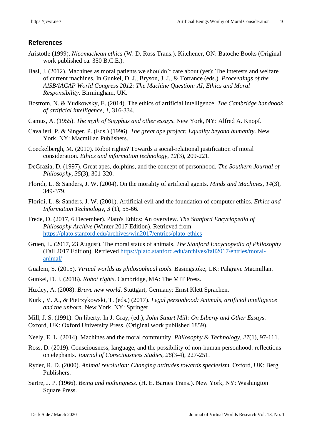#### **References**

- Aristotle (1999). *Nicomachean ethics* (W. D. Ross Trans.). Kitchener, ON: Batoche Books (Original work published ca. 350 B.C.E.).
- Basl, J. (2012). Machines as moral patients we shouldn't care about (yet): The interests and welfare of current machines. In Gunkel, D. J., Bryson, J. J., & Torrance (eds.). *Proceedings of the AISB/IACAP World Congress 2012: The Machine Question: AI, Ethics and Moral Responsibility*. Birmingham, UK.
- Bostrom, N. & Yudkowsky, E. (2014). The ethics of artificial intelligence. *The Cambridge handbook of artificial intelligence*, *1*, 316-334.
- Camus, A. (1955). *The myth of Sisyphus and other essays*. New York, NY: Alfred A. Knopf.
- Cavalieri, P. & Singer, P. (Eds.) (1996). *The great ape project: Equality beyond humanity*. New York, NY: Macmillan Publishers.
- Coeckelbergh, M. (2010). Robot rights? Towards a social-relational justification of moral consideration. *Ethics and information technology*, *12*(3), 209-221.
- DeGrazia, D. (1997). Great apes, dolphins, and the concept of personhood. *The Southern Journal of Philosophy*, *35*(3), 301-320.
- Floridi, L. & Sanders, J. W. (2004). On the morality of artificial agents. *Minds and Machines*, *14*(3), 349-379.
- Floridi, L. & Sanders, J. W. (2001). Artificial evil and the foundation of computer ethics. *Ethics and Information Technology*, *3* (1), 55-66.
- Frede, D. (2017, 6 December). Plato's Ethics: An overview. *The Stanford Encyclopedia of Philosophy Archive* (Winter 2017 Edition). Retrieved from <https://plato.stanford.edu/archives/win2017/entries/plato-ethics>
- Gruen, L. (2017, 23 August). The moral status of animals. *The Stanford Encyclopedia of Philosophy* (Fall 2017 Edition). Retrieved [https://plato.stanford.edu/archives/fall2017/entries/moral](https://plato.stanford.edu/archives/fall2017/entries/moral-animal/)[animal/](https://plato.stanford.edu/archives/fall2017/entries/moral-animal/)
- Gualeni, S. (2015). *Virtual worlds as philosophical tools*. Basingstoke, UK: Palgrave Macmillan.
- Gunkel, D. J. (2018). *Robot rights*. Cambridge, MA: The MIT Press.

Huxley, A. (2008). *Brave new world*. Stuttgart, Germany: Ernst Klett Sprachen.

Kurki, V. A., & Pietrzykowski, T. (eds.) (2017). *Legal personhood: Animals, artificial intelligence and the unborn*. New York, NY: Springer.

Mill, J. S. (1991). On liberty. In J. Gray, (ed.), *John Stuart Mill: On Liberty and Other Essays*. Oxford, UK: Oxford University Press. (Original work published 1859).

- Neely, E. L. (2014). Machines and the moral community. *Philosophy & Technology*, *27*(1), 97-111.
- Ross, D. (2019). Consciousness, language, and the possibility of non-human personhood: reflections on elephants. *Journal of Consciousness Studies*, *26*(3-4), 227-251.
- Ryder, R. D. (2000). *Animal revolution: Changing attitudes towards speciesism*. Oxford, UK: Berg Publishers.
- Sartre, J. P. (1966). *Being and nothingness*. (H. E. Barnes Trans.). New York, NY: Washington Square Press.